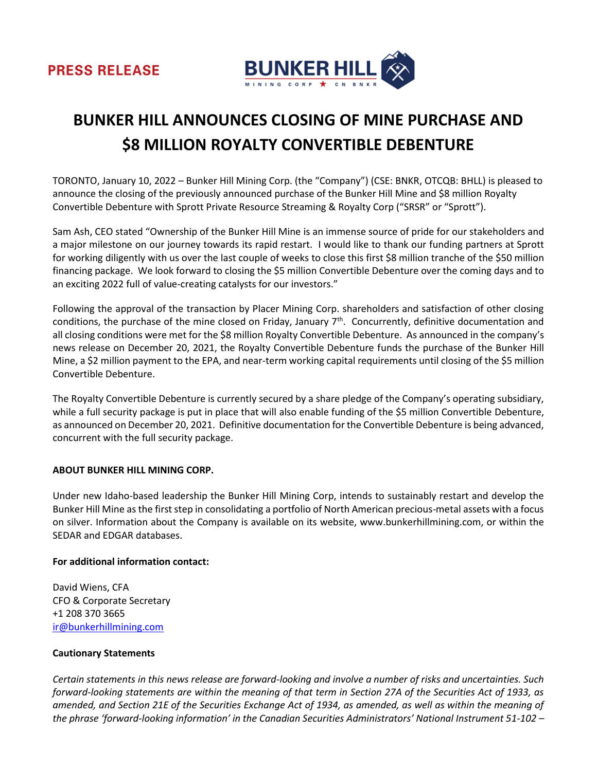

# **BUNKER HILL ANNOUNCES CLOSING OF MINE PURCHASE AND \$8 MILLION ROYALTY CONVERTIBLE DEBENTURE**

TORONTO, January 10, 2022 – Bunker Hill Mining Corp. (the "Company") (CSE: BNKR, OTCQB: BHLL) is pleased to announce the closing of the previously announced purchase of the Bunker Hill Mine and \$8 million Royalty Convertible Debenture with Sprott Private Resource Streaming & Royalty Corp ("SRSR" or "Sprott").

Sam Ash, CEO stated "Ownership of the Bunker Hill Mine is an immense source of pride for our stakeholders and a major milestone on our journey towards its rapid restart. I would like to thank our funding partners at Sprott for working diligently with us over the last couple of weeks to close this first \$8 million tranche of the \$50 million financing package. We look forward to closing the \$5 million Convertible Debenture over the coming days and to an exciting 2022 full of value-creating catalysts for our investors."

Following the approval of the transaction by Placer Mining Corp. shareholders and satisfaction of other closing conditions, the purchase of the mine closed on Friday, January 7<sup>th</sup>. Concurrently, definitive documentation and all closing conditions were met for the \$8 million Royalty Convertible Debenture. As announced in the company's news release on December 20, 2021, the Royalty Convertible Debenture funds the purchase of the Bunker Hill Mine, a \$2 million payment to the EPA, and near-term working capital requirements until closing of the \$5 million Convertible Debenture.

The Royalty Convertible Debenture is currently secured by a share pledge of the Company's operating subsidiary, while a full security package is put in place that will also enable funding of the \$5 million Convertible Debenture, as announced on December 20, 2021. Definitive documentation for the Convertible Debenture is being advanced, concurrent with the full security package.

## **ABOUT BUNKER HILL MINING CORP.**

Under new Idaho-based leadership the Bunker Hill Mining Corp, intends to sustainably restart and develop the Bunker Hill Mine as the first step in consolidating a portfolio of North American precious-metal assets with a focus on silver. Information about the Company is available on its website, www.bunkerhillmining.com, or within the SEDAR and EDGAR databases.

## **For additional information contact:**

David Wiens, CFA CFO & Corporate Secretary +1 208 370 3665 [ir@bunkerhillmining.com](mailto:ir@bunkerhillmining.com)

## **Cautionary Statements**

*Certain statements in this news release are forward-looking and involve a number of risks and uncertainties. Such forward-looking statements are within the meaning of that term in Section 27A of the Securities Act of 1933, as amended, and Section 21E of the Securities Exchange Act of 1934, as amended, as well as within the meaning of the phrase 'forward-looking information' in the Canadian Securities Administrators' National Instrument 51-102 –*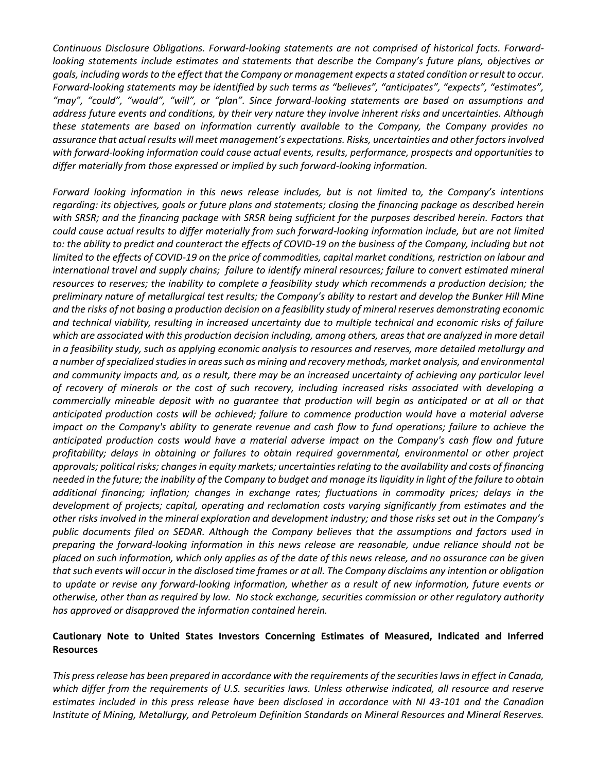*Continuous Disclosure Obligations. Forward-looking statements are not comprised of historical facts. Forwardlooking statements include estimates and statements that describe the Company's future plans, objectives or goals, including words to the effect that the Company or management expects a stated condition or result to occur. Forward-looking statements may be identified by such terms as "believes", "anticipates", "expects", "estimates", "may", "could", "would", "will", or "plan". Since forward-looking statements are based on assumptions and address future events and conditions, by their very nature they involve inherent risks and uncertainties. Although these statements are based on information currently available to the Company, the Company provides no assurance that actual results will meet management's expectations. Risks, uncertainties and other factors involved with forward-looking information could cause actual events, results, performance, prospects and opportunities to differ materially from those expressed or implied by such forward-looking information.* 

*Forward looking information in this news release includes, but is not limited to, the Company's intentions regarding: its objectives, goals or future plans and statements; closing the financing package as described herein with SRSR; and the financing package with SRSR being sufficient for the purposes described herein. Factors that could cause actual results to differ materially from such forward-looking information include, but are not limited*  to: the ability to predict and counteract the effects of COVID-19 on the business of the Company, including but not *limited to the effects of COVID-19 on the price of commodities, capital market conditions, restriction on labour and international travel and supply chains; failure to identify mineral resources; failure to convert estimated mineral*  resources to reserves; the inability to complete a feasibility study which recommends a production decision; the *preliminary nature of metallurgical test results; the Company's ability to restart and develop the Bunker Hill Mine and the risks of not basing a production decision on a feasibility study of mineral reserves demonstrating economic and technical viability, resulting in increased uncertainty due to multiple technical and economic risks of failure which are associated with this production decision including, among others, areas that are analyzed in more detail in a feasibility study, such as applying economic analysis to resources and reserves, more detailed metallurgy and a number of specialized studies in areas such as mining and recovery methods, market analysis, and environmental and community impacts and, as a result, there may be an increased uncertainty of achieving any particular level of recovery of minerals or the cost of such recovery, including increased risks associated with developing a commercially mineable deposit with no guarantee that production will begin as anticipated or at all or that anticipated production costs will be achieved; failure to commence production would have a material adverse impact on the Company's ability to generate revenue and cash flow to fund operations; failure to achieve the anticipated production costs would have a material adverse impact on the Company's cash flow and future profitability; delays in obtaining or failures to obtain required governmental, environmental or other project approvals; political risks; changes in equity markets; uncertainties relating to the availability and costs of financing needed in the future; the inability of the Company to budget and manage its liquidity in light of the failure to obtain additional financing; inflation; changes in exchange rates; fluctuations in commodity prices; delays in the development of projects; capital, operating and reclamation costs varying significantly from estimates and the other risks involved in the mineral exploration and development industry; and those risks set out in the Company's public documents filed on SEDAR. Although the Company believes that the assumptions and factors used in preparing the forward-looking information in this news release are reasonable, undue reliance should not be placed on such information, which only applies as of the date of this news release, and no assurance can be given that such events will occur in the disclosed time frames or at all. The Company disclaims any intention or obligation to update or revise any forward-looking information, whether as a result of new information, future events or otherwise, other than as required by law. No stock exchange, securities commission or other regulatory authority has approved or disapproved the information contained herein.*

# **Cautionary Note to United States Investors Concerning Estimates of Measured, Indicated and Inferred Resources**

*This press release has been prepared in accordance with the requirements of the securities laws in effect in Canada, which differ from the requirements of U.S. securities laws. Unless otherwise indicated, all resource and reserve estimates included in this press release have been disclosed in accordance with NI 43-101 and the Canadian Institute of Mining, Metallurgy, and Petroleum Definition Standards on Mineral Resources and Mineral Reserves.*